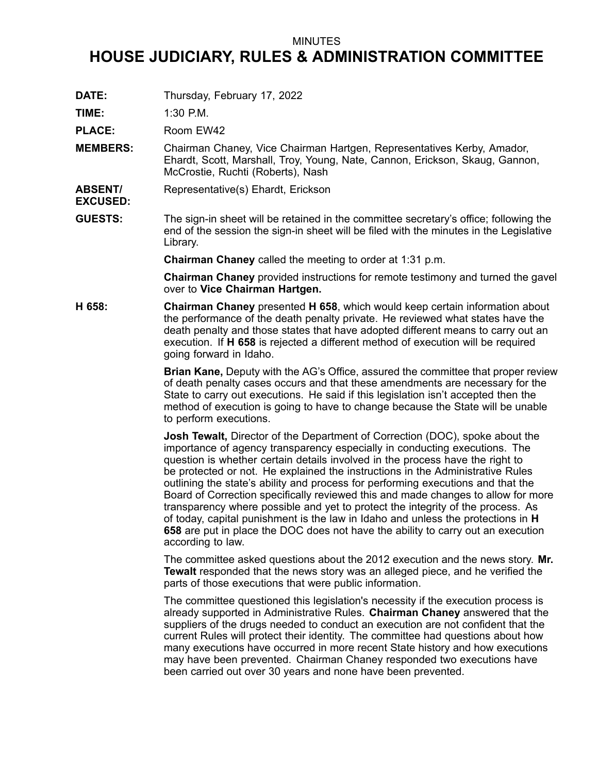## MINUTES

## **HOUSE JUDICIARY, RULES & ADMINISTRATION COMMITTEE**

**DATE:** Thursday, February 17, 2022

**TIME:** 1:30 P.M.

**EXCUSED:**

PLACE: Room EW42

- **MEMBERS:** Chairman Chaney, Vice Chairman Hartgen, Representatives Kerby, Amador, Ehardt, Scott, Marshall, Troy, Young, Nate, Cannon, Erickson, Skaug, Gannon, McCrostie, Ruchti (Roberts), Nash
- **ABSENT/** Representative(s) Ehardt, Erickson
- **GUESTS:** The sign-in sheet will be retained in the committee secretary's office; following the end of the session the sign-in sheet will be filed with the minutes in the Legislative Library.

**Chairman Chaney** called the meeting to order at 1:31 p.m.

**Chairman Chaney** provided instructions for remote testimony and turned the gavel over to **Vice Chairman Hartgen.**

**H 658: Chairman Chaney** presented **H 658**, which would keep certain information about the performance of the death penalty private. He reviewed what states have the death penalty and those states that have adopted different means to carry out an execution. If **H 658** is rejected <sup>a</sup> different method of execution will be required going forward in Idaho.

> **Brian Kane,** Deputy with the AG's Office, assured the committee that proper review of death penalty cases occurs and that these amendments are necessary for the State to carry out executions. He said if this legislation isn't accepted then the method of execution is going to have to change because the State will be unable to perform executions.

**Josh Tewalt,** Director of the Department of Correction (DOC), spoke about the importance of agency transparency especially in conducting executions. The question is whether certain details involved in the process have the right to be protected or not. He explained the instructions in the Administrative Rules outlining the state's ability and process for performing executions and that the Board of Correction specifically reviewed this and made changes to allow for more transparency where possible and yet to protect the integrity of the process. As of today, capital punishment is the law in Idaho and unless the protections in **H 658** are put in place the DOC does not have the ability to carry out an execution according to law.

The committee asked questions about the 2012 execution and the news story. **Mr. Tewalt** responded that the news story was an alleged piece, and he verified the parts of those executions that were public information.

The committee questioned this legislation's necessity if the execution process is already supported in Administrative Rules. **Chairman Chaney** answered that the suppliers of the drugs needed to conduct an execution are not confident that the current Rules will protect their identity. The committee had questions about how many executions have occurred in more recent State history and how executions may have been prevented. Chairman Chaney responded two executions have been carried out over 30 years and none have been prevented.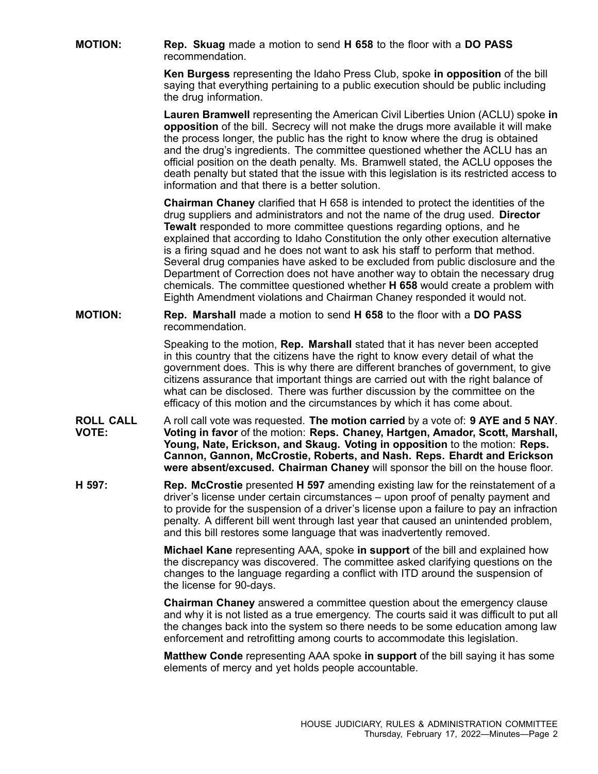**MOTION: Rep. Skuag** made <sup>a</sup> motion to send **H 658** to the floor with <sup>a</sup> **DO PASS** recommendation.

> **Ken Burgess** representing the Idaho Press Club, spoke **in opposition** of the bill saying that everything pertaining to <sup>a</sup> public execution should be public including the drug information.

**Lauren Bramwell** representing the American Civil Liberties Union (ACLU) spoke **in opposition** of the bill. Secrecy will not make the drugs more available it will make the process longer, the public has the right to know where the drug is obtained and the drug's ingredients. The committee questioned whether the ACLU has an official position on the death penalty. Ms. Bramwell stated, the ACLU opposes the death penalty but stated that the issue with this legislation is its restricted access to information and that there is a better solution.

**Chairman Chaney** clarified that H 658 is intended to protect the identities of the drug suppliers and administrators and not the name of the drug used. **Director Tewalt** responded to more committee questions regarding options, and he explained that according to Idaho Constitution the only other execution alternative is <sup>a</sup> firing squad and he does not want to ask his staff to perform that method. Several drug companies have asked to be excluded from public disclosure and the Department of Correction does not have another way to obtain the necessary drug chemicals. The committee questioned whether **H 658** would create <sup>a</sup> problem with Eighth Amendment violations and Chairman Chaney responded it would not.

**MOTION: Rep. Marshall** made <sup>a</sup> motion to send **H 658** to the floor with <sup>a</sup> **DO PASS** recommendation.

> Speaking to the motion, **Rep. Marshall** stated that it has never been accepted in this country that the citizens have the right to know every detail of what the government does. This is why there are different branches of government, to give citizens assurance that important things are carried out with the right balance of what can be disclosed. There was further discussion by the committee on the efficacy of this motion and the circumstances by which it has come about.

- **ROLL CALL VOTE:** A roll call vote was requested. **The motion carried** by <sup>a</sup> vote of: **9 AYE and 5 NAY**. **Voting in favor** of the motion: **Reps. Chaney, Hartgen, Amador, Scott, Marshall, Young, Nate, Erickson, and Skaug. Voting in opposition** to the motion: **Reps. Cannon, Gannon, McCrostie, Roberts, and Nash. Reps. Ehardt and Erickson were absent/excused. Chairman Chaney** will sponsor the bill on the house floor.
- **H 597: Rep. McCrostie** presented **H 597** amending existing law for the reinstatement of <sup>a</sup> driver's license under certain circumstances – upon proof of penalty payment and to provide for the suspension of <sup>a</sup> driver's license upon <sup>a</sup> failure to pay an infraction penalty. A different bill went through last year that caused an unintended problem, and this bill restores some language that was inadvertently removed.

**Michael Kane** representing AAA, spoke **in support** of the bill and explained how the discrepancy was discovered. The committee asked clarifying questions on the changes to the language regarding <sup>a</sup> conflict with ITD around the suspension of the license for 90-days.

**Chairman Chaney** answered <sup>a</sup> committee question about the emergency clause and why it is not listed as <sup>a</sup> true emergency. The courts said it was difficult to put all the changes back into the system so there needs to be some education among law enforcement and retrofitting among courts to accommodate this legislation.

**Matthew Conde** representing AAA spoke **in support** of the bill saying it has some elements of mercy and yet holds people accountable.